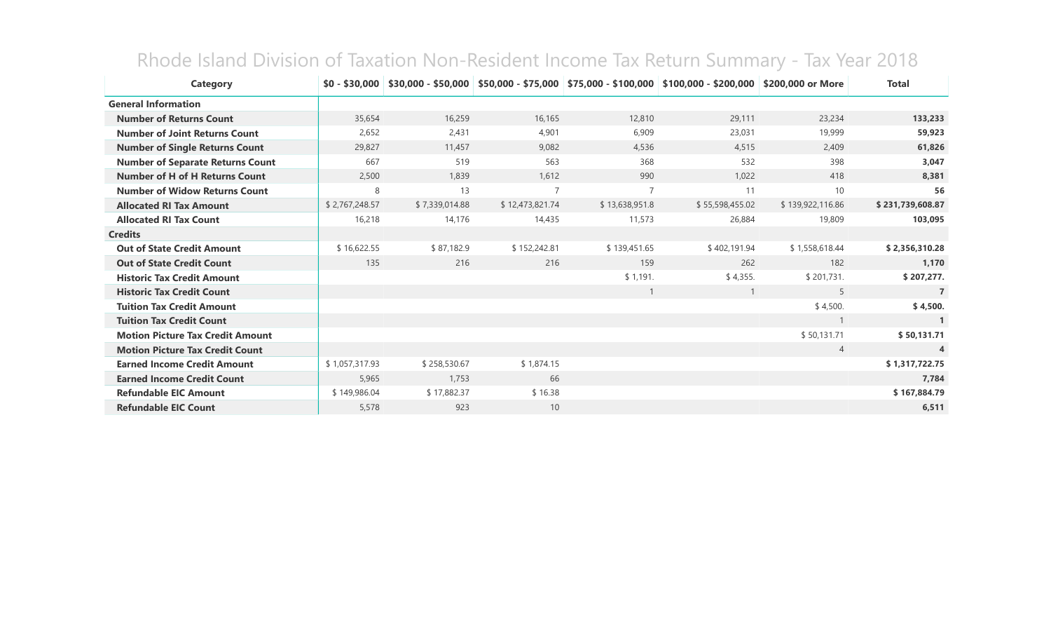| <b>Category</b>                         | $$0 - $30,000$ |                |                 |                | $$30,000 - $50,000$ $$50,000 - $75,000$ $$75,000 - $100,000$ $$100,000 - $200,000$ | \$200,000 or More | <b>Total</b>     |
|-----------------------------------------|----------------|----------------|-----------------|----------------|------------------------------------------------------------------------------------|-------------------|------------------|
| <b>General Information</b>              |                |                |                 |                |                                                                                    |                   |                  |
| <b>Number of Returns Count</b>          | 35,654         | 16,259         | 16,165          | 12,810         | 29,111                                                                             | 23,234            | 133,233          |
| <b>Number of Joint Returns Count</b>    | 2,652          | 2,431          | 4,901           | 6,909          | 23,031                                                                             | 19,999            | 59,923           |
| <b>Number of Single Returns Count</b>   | 29,827         | 11,457         | 9,082           | 4,536          | 4,515                                                                              | 2,409             | 61,826           |
| <b>Number of Separate Returns Count</b> | 667            | 519            | 563             | 368            | 532                                                                                | 398               | 3,047            |
| <b>Number of H of H Returns Count</b>   | 2,500          | 1,839          | 1,612           | 990            | 1,022                                                                              | 418               | 8,381            |
| <b>Number of Widow Returns Count</b>    | 8              | 13             | $\overline{7}$  | 7              | 11                                                                                 | 10                | 56               |
| <b>Allocated RI Tax Amount</b>          | \$2,767,248.57 | \$7,339,014.88 | \$12,473,821.74 | \$13,638,951.8 | \$55,598,455.02                                                                    | \$139,922,116.86  | \$231,739,608.87 |
| <b>Allocated RI Tax Count</b>           | 16,218         | 14,176         | 14,435          | 11,573         | 26,884                                                                             | 19,809            | 103,095          |
| <b>Credits</b>                          |                |                |                 |                |                                                                                    |                   |                  |
| <b>Out of State Credit Amount</b>       | \$16,622.55    | \$87,182.9     | \$152,242.81    | \$139,451.65   | \$402,191.94                                                                       | \$1,558,618.44    | \$2,356,310.28   |
| <b>Out of State Credit Count</b>        | 135            | 216            | 216             | 159            | 262                                                                                | 182               | 1,170            |
| <b>Historic Tax Credit Amount</b>       |                |                |                 | \$1,191.       | \$4,355.                                                                           | \$201,731.        | \$207,277.       |
| <b>Historic Tax Credit Count</b>        |                |                |                 |                | $\mathbf{1}$                                                                       | 5                 | $\overline{7}$   |
| <b>Tuition Tax Credit Amount</b>        |                |                |                 |                |                                                                                    | \$4,500.          | \$4,500.         |
| <b>Tuition Tax Credit Count</b>         |                |                |                 |                |                                                                                    |                   |                  |
| <b>Motion Picture Tax Credit Amount</b> |                |                |                 |                |                                                                                    | \$50,131.71       | \$50,131.71      |
| <b>Motion Picture Tax Credit Count</b>  |                |                |                 |                |                                                                                    | $\overline{4}$    | $\overline{4}$   |
| <b>Earned Income Credit Amount</b>      | \$1,057,317.93 | \$258,530.67   | \$1,874.15      |                |                                                                                    |                   | \$1,317,722.75   |
| <b>Earned Income Credit Count</b>       | 5,965          | 1,753          | 66              |                |                                                                                    |                   | 7,784            |
| <b>Refundable EIC Amount</b>            | \$149,986.04   | \$17,882.37    | \$16.38         |                |                                                                                    |                   | \$167,884.79     |
| <b>Refundable EIC Count</b>             | 5,578          | 923            | 10              |                |                                                                                    |                   | 6,511            |

## Rhode Island Division of Taxation Non-Resident Income Tax Return Summary - Tax Year 2018